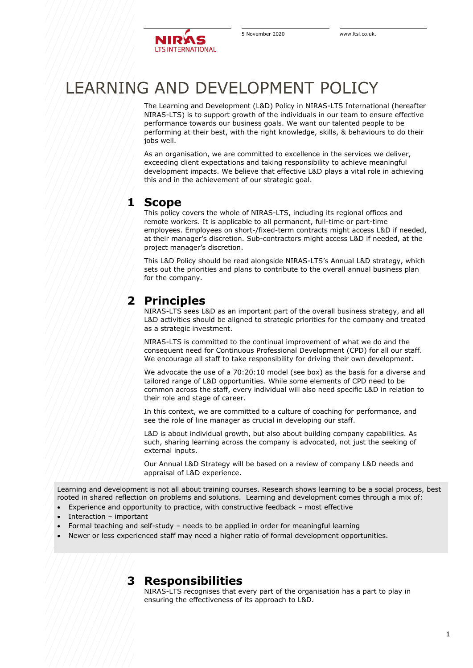# LEARNING AND DEVELOPMENT POLICY

The Learning and Development (L&D) Policy in NIRAS-LTS International (hereafter NIRAS-LTS) is to support growth of the individuals in our team to ensure effective performance towards our business goals. We want our talented people to be performing at their best, with the right knowledge, skills, & behaviours to do their jobs well.

As an organisation, we are committed to excellence in the services we deliver, exceeding client expectations and taking responsibility to achieve meaningful development impacts. We believe that effective L&D plays a vital role in achieving this and in the achievement of our strategic goal.

### **1 Scope**

This policy covers the whole of NIRAS-LTS, including its regional offices and remote workers. It is applicable to all permanent, full-time or part-time employees. Employees on short-/fixed-term contracts might access L&D if needed, at their manager's discretion. Sub-contractors might access L&D if needed, at the project manager's discretion.

This L&D Policy should be read alongside NIRAS-LTS's Annual L&D strategy, which sets out the priorities and plans to contribute to the overall annual business plan for the company.

## **2 Principles**

NIRAS-LTS sees L&D as an important part of the overall business strategy, and all L&D activities should be aligned to strategic priorities for the company and treated as a strategic investment.

NIRAS-LTS is committed to the continual improvement of what we do and the consequent need for Continuous Professional Development (CPD) for all our staff. We encourage all staff to take responsibility for driving their own development.

We advocate the use of a 70:20:10 model (see box) as the basis for a diverse and tailored range of L&D opportunities. While some elements of CPD need to be common across the staff, every individual will also need specific L&D in relation to their role and stage of career.

In this context, we are committed to a culture of coaching for performance, and see the role of line manager as crucial in developing our staff.

L&D is about individual growth, but also about building company capabilities. As such, sharing learning across the company is advocated, not just the seeking of external inputs.

Our Annual L&D Strategy will be based on a review of company L&D needs and appraisal of L&D experience.

Learning and development is not all about training courses. Research shows learning to be a social process, best rooted in shared reflection on problems and solutions. Learning and development comes through a mix of:

- Experience and opportunity to practice, with constructive feedback most effective
- Interaction important
- Formal teaching and self-study needs to be applied in order for meaningful learning
- Newer or less experienced staff may need a higher ratio of formal development opportunities.

## **3 Responsibilities**

NIRAS-LTS recognises that every part of the organisation has a part to play in ensuring the effectiveness of its approach to L&D.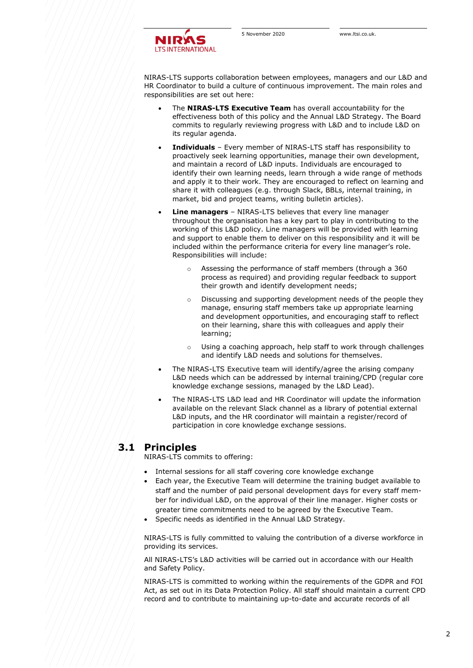NIRAS-LTS supports collaboration between employees, managers and our L&D and HR Coordinator to build a culture of continuous improvement. The main roles and responsibilities are set out here:

- The **NIRAS-LTS Executive Team** has overall accountability for the effectiveness both of this policy and the Annual L&D Strategy. The Board commits to regularly reviewing progress with L&D and to include L&D on its regular agenda.
- **Individuals** Every member of NIRAS-LTS staff has responsibility to proactively seek learning opportunities, manage their own development, and maintain a record of L&D inputs. Individuals are encouraged to identify their own learning needs, learn through a wide range of methods and apply it to their work. They are encouraged to reflect on learning and share it with colleagues (e.g. through Slack, BBLs, internal training, in market, bid and project teams, writing bulletin articles).
- **Line managers** NIRAS-LTS believes that every line manager throughout the organisation has a key part to play in contributing to the working of this L&D policy. Line managers will be provided with learning and support to enable them to deliver on this responsibility and it will be included within the performance criteria for every line manager's role. Responsibilities will include:
	- Assessing the performance of staff members (through a 360 process as required) and providing regular feedback to support their growth and identify development needs;
	- o Discussing and supporting development needs of the people they manage, ensuring staff members take up appropriate learning and development opportunities, and encouraging staff to reflect on their learning, share this with colleagues and apply their learning;
	- o Using a coaching approach, help staff to work through challenges and identify L&D needs and solutions for themselves.
- The NIRAS-LTS Executive team will identify/agree the arising company L&D needs which can be addressed by internal training/CPD (regular core knowledge exchange sessions, managed by the L&D Lead).
- The NIRAS-LTS L&D lead and HR Coordinator will update the information available on the relevant Slack channel as a library of potential external L&D inputs, and the HR coordinator will maintain a register/record of participation in core knowledge exchange sessions.

#### **3.1 Principles**

NIRAS-LTS commits to offering:

- Internal sessions for all staff covering core knowledge exchange
- Each year, the Executive Team will determine the training budget available to staff and the number of paid personal development days for every staff member for individual L&D, on the approval of their line manager. Higher costs or greater time commitments need to be agreed by the Executive Team.
- Specific needs as identified in the Annual L&D Strategy.

NIRAS-LTS is fully committed to valuing the contribution of a diverse workforce in providing its services.

All NIRAS-LTS's L&D activities will be carried out in accordance with our Health and Safety Policy.

NIRAS-LTS is committed to working within the requirements of the GDPR and FOI Act, as set out in its Data Protection Policy. All staff should maintain a current CPD record and to contribute to maintaining up-to-date and accurate records of all